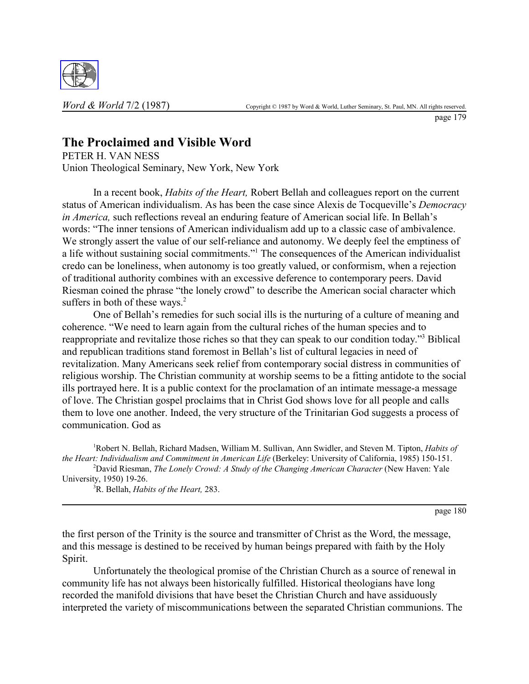

page 179

## **The Proclaimed and Visible Word**

PETER H. VAN NESS Union Theological Seminary, New York, New York

In a recent book, *Habits of the Heart,* Robert Bellah and colleagues report on the current status of American individualism. As has been the case since Alexis de Tocqueville's *Democracy in America*, such reflections reveal an enduring feature of American social life. In Bellah's words: "The inner tensions of American individualism add up to a classic case of ambivalence. We strongly assert the value of our self-reliance and autonomy. We deeply feel the emptiness of a life without sustaining social commitments."<sup>1</sup> The consequences of the American individualist credo can be loneliness, when autonomy is too greatly valued, or conformism, when a rejection of traditional authority combines with an excessive deference to contemporary peers. David Riesman coined the phrase "the lonely crowd" to describe the American social character which suffers in both of these ways. $2$ 

One of Bellah's remedies for such social ills is the nurturing of a culture of meaning and coherence. "We need to learn again from the cultural riches of the human species and to reappropriate and revitalize those riches so that they can speak to our condition today."<sup>3</sup> Biblical and republican traditions stand foremost in Bellah's list of cultural legacies in need of revitalization. Many Americans seek relief from contemporary social distress in communities of religious worship. The Christian community at worship seems to be a fitting antidote to the social ills portrayed here. It is a public context for the proclamation of an intimate message-a message of love. The Christian gospel proclaims that in Christ God shows love for all people and calls them to love one another. Indeed, the very structure of the Trinitarian God suggests a process of communication. God as

1 Robert N. Bellah, Richard Madsen, William M. Sullivan, Ann Swidler, and Steven M. Tipton, *Habits of the Heart: Individualism and Commitment in American Life* (Berkeley: University of California, 1985) 150-151.

<sup>2</sup>David Riesman, *The Lonely Crowd: A Study of the Changing American Character* (New Haven: Yale University, 1950) 19-26.

3 R. Bellah, *Habits of the Heart,* 283.

page 180

the first person of the Trinity is the source and transmitter of Christ as the Word, the message, and this message is destined to be received by human beings prepared with faith by the Holy Spirit.

Unfortunately the theological promise of the Christian Church as a source of renewal in community life has not always been historically fulfilled. Historical theologians have long recorded the manifold divisions that have beset the Christian Church and have assiduously interpreted the variety of miscommunications between the separated Christian communions. The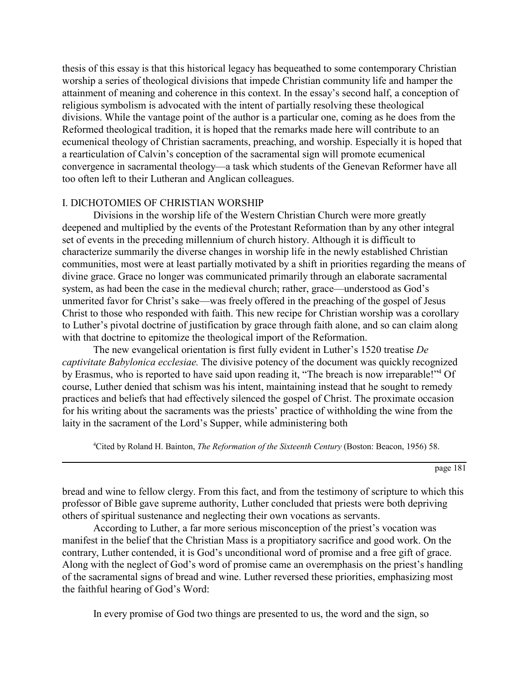thesis of this essay is that this historical legacy has bequeathed to some contemporary Christian worship a series of theological divisions that impede Christian community life and hamper the attainment of meaning and coherence in this context. In the essay's second half, a conception of religious symbolism is advocated with the intent of partially resolving these theological divisions. While the vantage point of the author is a particular one, coming as he does from the Reformed theological tradition, it is hoped that the remarks made here will contribute to an ecumenical theology of Christian sacraments, preaching, and worship. Especially it is hoped that a rearticulation of Calvin's conception of the sacramental sign will promote ecumenical convergence in sacramental theology—a task which students of the Genevan Reformer have all too often left to their Lutheran and Anglican colleagues.

## I. DICHOTOMIES OF CHRISTIAN WORSHIP

Divisions in the worship life of the Western Christian Church were more greatly deepened and multiplied by the events of the Protestant Reformation than by any other integral set of events in the preceding millennium of church history. Although it is difficult to characterize summarily the diverse changes in worship life in the newly established Christian communities, most were at least partially motivated by a shift in priorities regarding the means of divine grace. Grace no longer was communicated primarily through an elaborate sacramental system, as had been the case in the medieval church; rather, grace—understood as God's unmerited favor for Christ's sake—was freely offered in the preaching of the gospel of Jesus Christ to those who responded with faith. This new recipe for Christian worship was a corollary to Luther's pivotal doctrine of justification by grace through faith alone, and so can claim along with that doctrine to epitomize the theological import of the Reformation.

The new evangelical orientation is first fully evident in Luther's 1520 treatise *De captivitate Babylonica ecclesiae.* The divisive potency of the document was quickly recognized by Erasmus, who is reported to have said upon reading it, "The breach is now irreparable!"<sup>4</sup> Of course, Luther denied that schism was his intent, maintaining instead that he sought to remedy practices and beliefs that had effectively silenced the gospel of Christ. The proximate occasion for his writing about the sacraments was the priests' practice of withholding the wine from the laity in the sacrament of the Lord's Supper, while administering both

<sup>4</sup>Cited by Roland H. Bainton, *The Reformation of the Sixteenth Century* (Boston: Beacon, 1956) 58.

page 181

bread and wine to fellow clergy. From this fact, and from the testimony of scripture to which this professor of Bible gave supreme authority, Luther concluded that priests were both depriving others of spiritual sustenance and neglecting their own vocations as servants.

According to Luther, a far more serious misconception of the priest's vocation was manifest in the belief that the Christian Mass is a propitiatory sacrifice and good work. On the contrary, Luther contended, it is God's unconditional word of promise and a free gift of grace. Along with the neglect of God's word of promise came an overemphasis on the priest's handling of the sacramental signs of bread and wine. Luther reversed these priorities, emphasizing most the faithful hearing of God's Word:

In every promise of God two things are presented to us, the word and the sign, so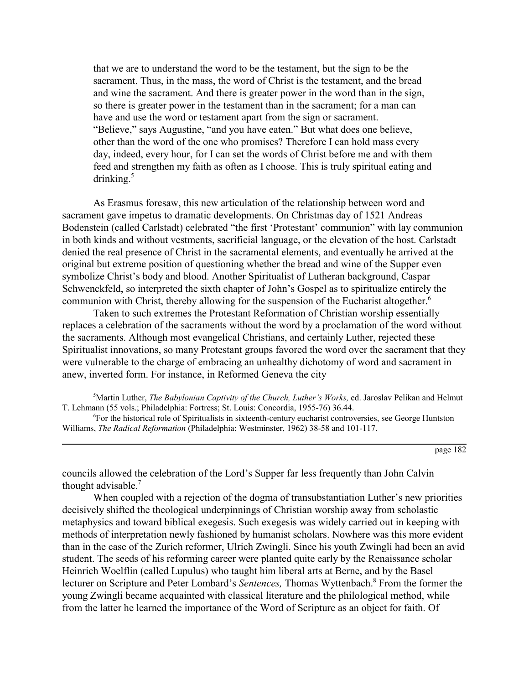that we are to understand the word to be the testament, but the sign to be the sacrament. Thus, in the mass, the word of Christ is the testament, and the bread and wine the sacrament. And there is greater power in the word than in the sign, so there is greater power in the testament than in the sacrament; for a man can have and use the word or testament apart from the sign or sacrament. *"Believe,"* says Augustine, "and you have eaten." But what does one believe, other than the word of the one who promises? Therefore I can hold mass every day, indeed, every hour, for I can set the words of Christ before me and with them feed and strengthen my faith as often as I choose. This is truly spiritual eating and drinking. $5$ 

As Erasmus foresaw, this new articulation of the relationship between word and sacrament gave impetus to dramatic developments. On Christmas day of 1521 Andreas Bodenstein (called Carlstadt) celebrated "the first 'Protestant' communion" with lay communion in both kinds and without vestments, sacrificial language, or the elevation of the host. Carlstadt denied the real presence of Christ in the sacramental elements, and eventually he arrived at the original but extreme position of questioning whether the bread and wine of the Supper even symbolize Christ's body and blood. Another Spiritualist of Lutheran background, Caspar Schwenckfeld, so interpreted the sixth chapter of John's Gospel as to spiritualize entirely the communion with Christ, thereby allowing for the suspension of the Eucharist altogether.<sup>6</sup>

Taken to such extremes the Protestant Reformation of Christian worship essentially replaces a celebration of the sacraments without the word by a proclamation of the word without the sacraments. Although most evangelical Christians, and certainly Luther, rejected these Spiritualist innovations, so many Protestant groups favored the word over the sacrament that they were vulnerable to the charge of embracing an unhealthy dichotomy of word and sacrament in anew, inverted form. For instance, in Reformed Geneva the city

<sup>5</sup>Martin Luther, *The Babylonian Captivity of the Church, Luther's Works*, ed. Jaroslav Pelikan and Helmut T. Lehmann (55 vols.; Philadelphia: Fortress; St. Louis: Concordia, 1955-76) 36.44.

6 For the historical role of Spiritualists in sixteenth-century eucharist controversies, see George Huntston Williams, *The Radical Reformation* (Philadelphia: Westminster, 1962) 38-58 and 101-117.

page 182

councils allowed the celebration of the Lord's Supper far less frequently than John Calvin thought advisable.7

When coupled with a rejection of the dogma of transubstantiation Luther's new priorities decisively shifted the theological underpinnings of Christian worship away from scholastic metaphysics and toward biblical exegesis. Such exegesis was widely carried out in keeping with methods of interpretation newly fashioned by humanist scholars. Nowhere was this more evident than in the case of the Zurich reformer, Ulrich Zwingli. Since his youth Zwingli had been an avid student. The seeds of his reforming career were planted quite early by the Renaissance scholar Heinrich Woelflin (called Lupulus) who taught him liberal arts at Berne, and by the Basel lecturer on Scripture and Peter Lombard's Sentences, Thomas Wyttenbach.<sup>8</sup> From the former the young Zwingli became acquainted with classical literature and the philological method, while from the latter he learned the importance of the Word of Scripture as an object for faith. Of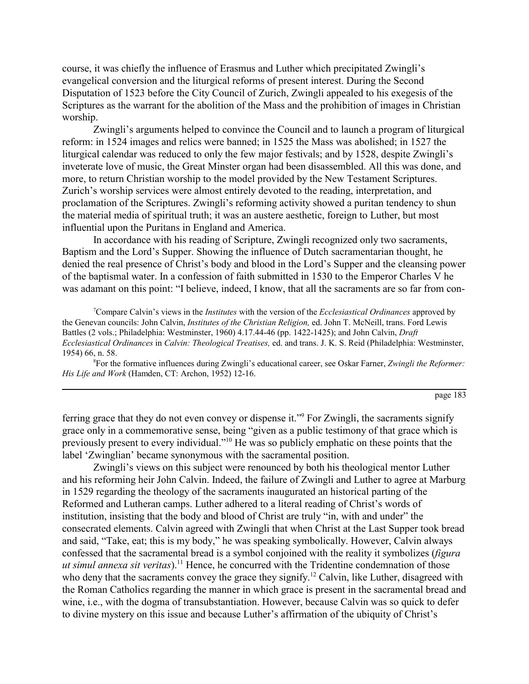course, it was chiefly the influence of Erasmus and Luther which precipitated Zwingli's evangelical conversion and the liturgical reforms of present interest. During the Second Disputation of 1523 before the City Council of Zurich, Zwingli appealed to his exegesis of the Scriptures as the warrant for the abolition of the Mass and the prohibition of images in Christian worship.

Zwingli<sup>'</sup>s arguments helped to convince the Council and to launch a program of liturgical reform: in 1524 images and relics were banned; in 1525 the Mass was abolished; in 1527 the liturgical calendar was reduced to only the few major festivals; and by 1528, despite Zwingli's inveterate love of music, the Great Minster organ had been disassembled. All this was done, and more, to return Christian worship to the model provided by the New Testament Scriptures. Zurich's worship services were almost entirely devoted to the reading, interpretation, and proclamation of the Scriptures. Zwingli's reforming activity showed a puritan tendency to shun the material media of spiritual truth; it was an austere aesthetic, foreign to Luther, but most influential upon the Puritans in England and America.

In accordance with his reading of Scripture, Zwingli recognized only two sacraments, Baptism and the Lord's Supper. Showing the influence of Dutch sacramentarian thought, he denied the real presence of Christ's body and blood in the Lord's Supper and the cleansing power of the baptismal water. In a confession of faith submitted in 1530 to the Emperor Charles V he was adamant on this point: "I believe, indeed, I know, that all the sacraments are so far from con-

<sup>7</sup> Compare Calvin's views in the *Institutes* with the version of the *Ecclesiastical Ordinances* approved by the Genevan councils: John Calvin, *Institutes of the Christian Religion,* ed. John T. McNeill, trans. Ford Lewis Battles (2 vols.; Philadelphia: Westminster, 1960) 4.17.44-46 (pp. 1422-1425); and John Calvin, *Draft Ecclesiastical Ordinances* in *Calvin: Theological Treatises,* ed. and trans. J. K. S. Reid (Philadelphia: Westminster, 1954) 66, n. 58.

<sup>8</sup> For the formative influences during Zwingli's educational career, see Oskar Farner, *Zwingli the Reformer*: *His Life and Work* (Hamden, CT: Archon, 1952) 12-16.

page 183

ferring grace that they do not even convey or dispense it."<sup>9</sup> For Zwingli, the sacraments signify grace only in a commemorative sense, being "given as a public testimony of that grace which is previously present to every individual.<sup>710</sup> He was so publicly emphatic on these points that the label 'Zwinglian' became synonymous with the sacramental position.

Zwingli's views on this subject were renounced by both his theological mentor Luther and his reforming heir John Calvin. Indeed, the failure of Zwingli and Luther to agree at Marburg in 1529 regarding the theology of the sacraments inaugurated an historical parting of the Reformed and Lutheran camps. Luther adhered to a literal reading of Christ's words of institution, insisting that the body and blood of Christ are truly "in, with and under" the consecrated elements. Calvin agreed with Zwingli that when Christ at the Last Supper took bread and said, "Take, eat; this is my body," he was speaking symbolically. However, Calvin always confessed that the sacramental bread is a symbol conjoined with the reality it symbolizes (*figura ut simul annexa sit veritas*).<sup>11</sup> Hence, he concurred with the Tridentine condemnation of those who deny that the sacraments convey the grace they signify.<sup>12</sup> Calvin, like Luther, disagreed with the Roman Catholics regarding the manner in which grace is present in the sacramental bread and wine, i.e., with the dogma of transubstantiation. However, because Calvin was so quick to defer to divine mystery on this issue and because Luther's affirmation of the ubiquity of Christ's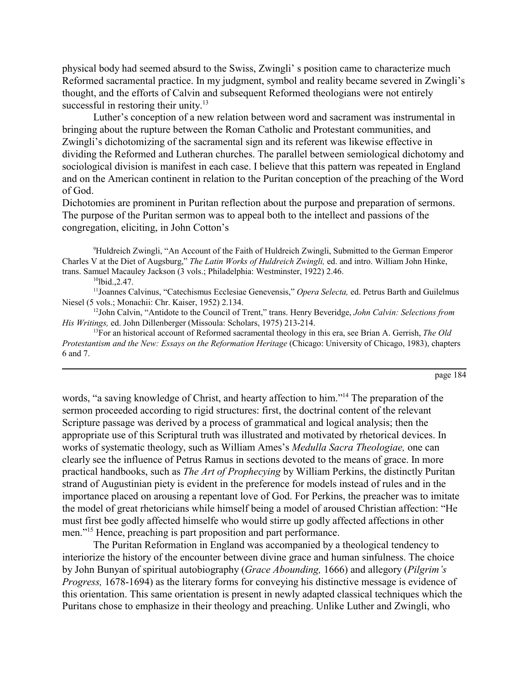physical body had seemed absurd to the Swiss, Zwinglií s position came to characterize much Reformed sacramental practice. In my judgment, symbol and reality became severed in Zwingli's thought, and the efforts of Calvin and subsequent Reformed theologians were not entirely successful in restoring their unity. $13$ 

Luther's conception of a new relation between word and sacrament was instrumental in bringing about the rupture between the Roman Catholic and Protestant communities, and Zwingli's dichotomizing of the sacramental sign and its referent was likewise effective in dividing the Reformed and Lutheran churches. The parallel between semiological dichotomy and sociological division is manifest in each case. I believe that this pattern was repeated in England and on the American continent in relation to the Puritan conception of the preaching of the Word of God.

Dichotomies are prominent in Puritan reflection about the purpose and preparation of sermons. The purpose of the Puritan sermon was to appeal both to the intellect and passions of the congregation, eliciting, in John Cotton's

<sup>9</sup>Huldreich Zwingli, "An Account of the Faith of Huldreich Zwingli, Submitted to the German Emperor Charles V at the Diet of Augsburg," The Latin Works of Huldreich Zwingli, ed. and intro. William John Hinke, trans. Samuel Macauley Jackson (3 vols.; Philadelphia: Westminster, 1922) 2.46.

 $10$ lbid., 2.47.

<sup>11</sup>Joannes Calvinus, "Catechismus Ecclesiae Genevensis," *Opera Selecta*, ed. Petrus Barth and Guilelmus Niesel (5 vols.; Monachii: Chr. Kaiser, 1952) 2.134.

<sup>12</sup>John Calvin, "Antidote to the Council of Trent," trans. Henry Beveridge, *John Calvin: Selections from His Writings,* ed. John Dillenberger (Missoula: Scholars, 1975) 213-214.

13For an historical account of Reformed sacramental theology in this era, see Brian A. Gerrish, *The Old Protestantism and the New: Essays on the Reformation Heritage (Chicago: University of Chicago, 1983), chapters* 6 and 7.

page 184

words, "a saving knowledge of Christ, and hearty affection to him."<sup>14</sup> The preparation of the sermon proceeded according to rigid structures: first, the doctrinal content of the relevant Scripture passage was derived by a process of grammatical and logical analysis; then the appropriate use of this Scriptural truth was illustrated and motivated by rhetorical devices. In works of systematic theology, such as William Amesís *Medulla Sacra Theologiae,* one can clearly see the influence of Petrus Ramus in sections devoted to the means of grace. In more practical handbooks, such as *The Art of Prophecying* by William Perkins, the distinctly Puritan strand of Augustinian piety is evident in the preference for models instead of rules and in the importance placed on arousing a repentant love of God. For Perkins, the preacher was to imitate the model of great rhetoricians while himself being a model of aroused Christian affection: "He must first bee godly affected himselfe who would stirre up godly affected affections in other men.<sup>"15</sup> Hence, preaching is part proposition and part performance.

The Puritan Reformation in England was accompanied by a theological tendency to interiorize the history of the encounter between divine grace and human sinfulness. The choice by John Bunyan of spiritual autobiography (*Grace Abounding,* 1666) and allegory (*Pilgrimís Progress,* 1678-1694) as the literary forms for conveying his distinctive message is evidence of this orientation. This same orientation is present in newly adapted classical techniques which the Puritans chose to emphasize in their theology and preaching. Unlike Luther and Zwingli, who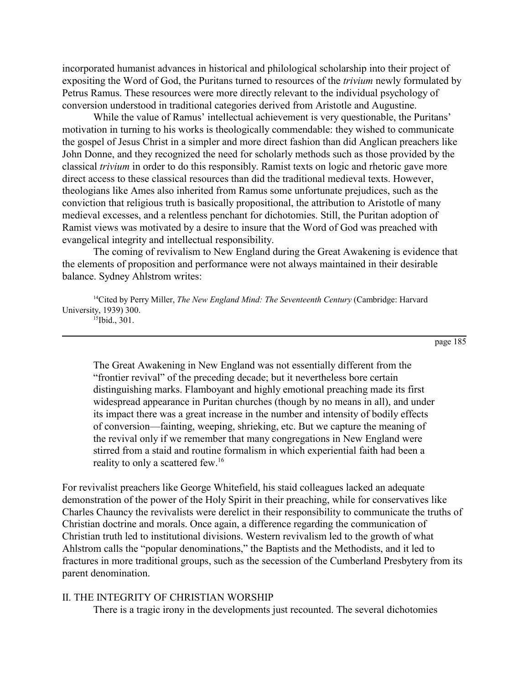incorporated humanist advances in historical and philological scholarship into their project of expositing the Word of God, the Puritans turned to resources of the *trivium* newly formulated by Petrus Ramus. These resources were more directly relevant to the individual psychology of conversion understood in traditional categories derived from Aristotle and Augustine.

While the value of Ramus' intellectual achievement is very questionable, the Puritans' motivation in turning to his works is theologically commendable: they wished to communicate the gospel of Jesus Christ in a simpler and more direct fashion than did Anglican preachers like John Donne, and they recognized the need for scholarly methods such as those provided by the classical *trivium* in order to do this responsibly. Ramist texts on logic and rhetoric gave more direct access to these classical resources than did the traditional medieval texts. However, theologians like Ames also inherited from Ramus some unfortunate prejudices, such as the conviction that religious truth is basically propositional, the attribution to Aristotle of many medieval excesses, and a relentless penchant for dichotomies. Still, the Puritan adoption of Ramist views was motivated by a desire to insure that the Word of God was preached with evangelical integrity and intellectual responsibility.

The coming of revivalism to New England during the Great Awakening is evidence that the elements of proposition and performance were not always maintained in their desirable balance. Sydney Ahlstrom writes:

<sup>14</sup>Cited by Perry Miller, *The New England Mind: The Seventeenth Century* (Cambridge: Harvard University, 1939) 300.

 $15$ Ibid., 301.

page 185

The Great Awakening in New England was not essentially different from the "frontier revival" of the preceding decade; but it nevertheless bore certain distinguishing marks. Flamboyant and highly emotional preaching made its first widespread appearance in Puritan churches (though by no means in all), and under its impact there was a great increase in the number and intensity of bodily effects of conversion—fainting, weeping, shrieking, etc. But we capture the meaning of the revival only if we remember that many congregations in New England were stirred from a staid and routine formalism in which experiential faith had been a reality to only a scattered few.<sup>16</sup>

For revivalist preachers like George Whitefield, his staid colleagues lacked an adequate demonstration of the power of the Holy Spirit in their preaching, while for conservatives like Charles Chauncy the revivalists were derelict in their responsibility to communicate the truths of Christian doctrine and morals. Once again, a difference regarding the communication of Christian truth led to institutional divisions. Western revivalism led to the growth of what Ahlstrom calls the "popular denominations," the Baptists and the Methodists, and it led to fractures in more traditional groups, such as the secession of the Cumberland Presbytery from its parent denomination.

## II. THE INTEGRITY OF CHRISTIAN WORSHIP

There is a tragic irony in the developments just recounted. The several dichotomies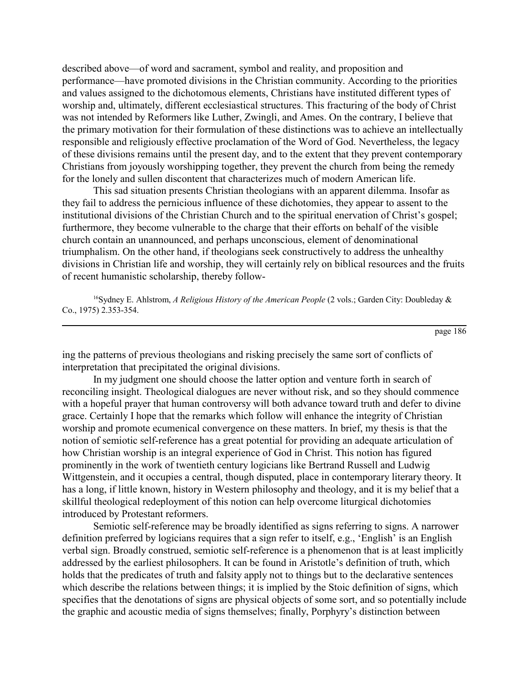described above—of word and sacrament, symbol and reality, and proposition and performance—have promoted divisions in the Christian community. According to the priorities and values assigned to the dichotomous elements, Christians have instituted different types of worship and, ultimately, different ecclesiastical structures. This fracturing of the body of Christ was not intended by Reformers like Luther, Zwingli, and Ames. On the contrary, I believe that the primary motivation for their formulation of these distinctions was to achieve an intellectually responsible and religiously effective proclamation of the Word of God. Nevertheless, the legacy of these divisions remains until the present day, and to the extent that they prevent contemporary Christians from joyously worshipping together, they prevent the church from being the remedy for the lonely and sullen discontent that characterizes much of modern American life.

This sad situation presents Christian theologians with an apparent dilemma. Insofar as they fail to address the pernicious influence of these dichotomies, they appear to assent to the institutional divisions of the Christian Church and to the spiritual enervation of Christ's gospel; furthermore, they become vulnerable to the charge that their efforts on behalf of the visible church contain an unannounced, and perhaps unconscious, element of denominational triumphalism. On the other hand, if theologians seek constructively to address the unhealthy divisions in Christian life and worship, they will certainly rely on biblical resources and the fruits of recent humanistic scholarship, thereby follow-

16Sydney E. Ahlstrom, *A Religious History of the American People* (2 vols.; Garden City: Doubleday & Co., 1975) 2.353-354.

page 186

ing the patterns of previous theologians and risking precisely the same sort of conflicts of interpretation that precipitated the original divisions.

In my judgment one should choose the latter option and venture forth in search of reconciling insight. Theological dialogues are never without risk, and so they should commence with a hopeful prayer that human controversy will both advance toward truth and defer to divine grace. Certainly I hope that the remarks which follow will enhance the integrity of Christian worship and promote ecumenical convergence on these matters. In brief, my thesis is that the notion of semiotic self-reference has a great potential for providing an adequate articulation of how Christian worship is an integral experience of God in Christ. This notion has figured prominently in the work of twentieth century logicians like Bertrand Russell and Ludwig Wittgenstein, and it occupies a central, though disputed, place in contemporary literary theory. It has a long, if little known, history in Western philosophy and theology, and it is my belief that a skillful theological redeployment of this notion can help overcome liturgical dichotomies introduced by Protestant reformers.

Semiotic self-reference may be broadly identified as signs referring to signs. A narrower definition preferred by logicians requires that a sign refer to itself, e.g., 'English' is an English verbal sign. Broadly construed, semiotic self-reference is a phenomenon that is at least implicitly addressed by the earliest philosophers. It can be found in Aristotle's definition of truth, which holds that the predicates of truth and falsity apply not to things but to the declarative sentences which describe the relations between things; it is implied by the Stoic definition of signs, which specifies that the denotations of signs are physical objects of some sort, and so potentially include the graphic and acoustic media of signs themselves; finally, Porphyry's distinction between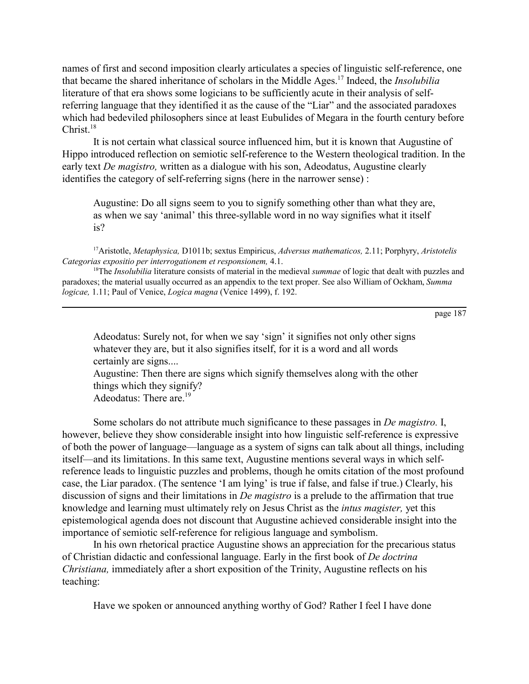names of first and second imposition clearly articulates a species of linguistic self-reference, one that became the shared inheritance of scholars in the Middle Ages.17 Indeed, the *Insolubilia* literature of that era shows some logicians to be sufficiently acute in their analysis of selfreferring language that they identified it as the cause of the "Liar" and the associated paradoxes which had bedeviled philosophers since at least Eubulides of Megara in the fourth century before  $Christ.<sup>18</sup>$ 

It is not certain what classical source influenced him, but it is known that Augustine of Hippo introduced reflection on semiotic self-reference to the Western theological tradition. In the early text *De magistro,* written as a dialogue with his son, Adeodatus, Augustine clearly identifies the category of self-referring signs (here in the narrower sense) :

Augustine: Do all signs seem to you to signify something other than what they are, as when we say 'animal' this three-syllable word in no way signifies what it itself is?

17Aristotle, *Metaphysica,* D1011b; sextus Empiricus, *Adversus mathematicos,* 2.11; Porphyry, *Aristotelis Categorias expositio per interrogationem et responsionem,* 4.1.

18The *Insolubilia* literature consists of material in the medieval *summae* of logic that dealt with puzzles and paradoxes; the material usually occurred as an appendix to the text proper. See also William of Ockham, *Summa logicae,* 1.11; Paul of Venice, *Logica magna* (Venice 1499), f. 192.

page 187

Adeodatus: Surely not, for when we say 'sign' it signifies not only other signs whatever they are, but it also signifies itself, for it is a word and all words certainly are signs....

Augustine: Then there are signs which signify themselves along with the other things which they signify?

Adeodatus: There are.<sup>19</sup>

Some scholars do not attribute much significance to these passages in *De magistro.* I, however, believe they show considerable insight into how linguistic self-reference is expressive of both the power of language—language as a system of signs can talk about all things, including itself—and its limitations. In this same text, Augustine mentions several ways in which selfreference leads to linguistic puzzles and problems, though he omits citation of the most profound case, the Liar paradox. (The sentence 'I am lying' is true if false, and false if true.) Clearly, his discussion of signs and their limitations in *De magistro* is a prelude to the affirmation that true knowledge and learning must ultimately rely on Jesus Christ as the *intus magister,* yet this epistemological agenda does not discount that Augustine achieved considerable insight into the importance of semiotic self-reference for religious language and symbolism.

In his own rhetorical practice Augustine shows an appreciation for the precarious status of Christian didactic and confessional language. Early in the first book of *De doctrina Christiana,* immediately after a short exposition of the Trinity, Augustine reflects on his teaching:

Have we spoken or announced anything worthy of God? Rather I feel I have done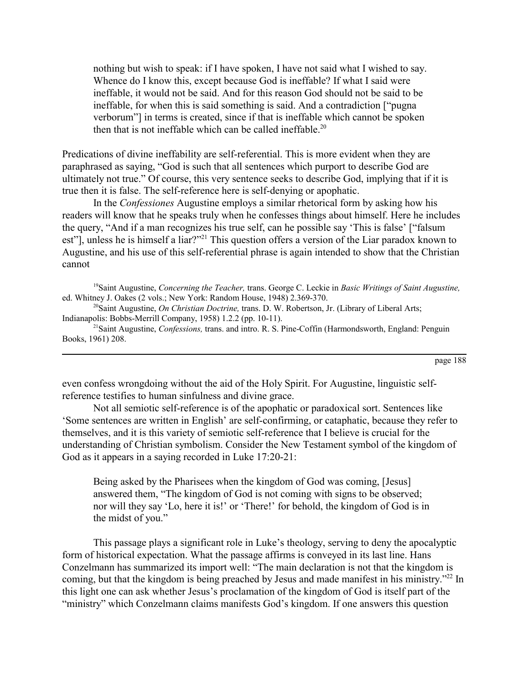nothing but wish to speak: if I have spoken, I have not said what I wished to say. Whence do I know this, except because God is ineffable? If what I said were ineffable, it would not be said. And for this reason God should not be said to be ineffable, for when this is said something is said. And a contradiction ["pugna" verborum"] in terms is created, since if that is ineffable which cannot be spoken then that is not ineffable which can be called ineffable.<sup>20</sup>

Predications of divine ineffability are self-referential. This is more evident when they are paraphrased as saying, "God is such that all sentences which purport to describe God are ultimately not true." Of course, this very sentence seeks to describe God, implying that if it is true then it is false. The self-reference here is self-denying or apophatic.

In the *Confessiones* Augustine employs a similar rhetorical form by asking how his readers will know that he speaks truly when he confesses things about himself. Here he includes the query, "And if a man recognizes his true self, can he possible say 'This is false' ["falsum est"], unless he is himself a liar?<sup>??1</sup> This question offers a version of the Liar paradox known to Augustine, and his use of this self-referential phrase is again intended to show that the Christian cannot

19Saint Augustine, *Concerning the Teacher,* trans. George C. Leckie in *Basic Writings of Saint Augustine,* ed. Whitney J. Oakes (2 vols.; New York: Random House, 1948) 2.369-370.

20Saint Augustine, *On Christian Doctrine,* trans. D. W. Robertson, Jr. (Library of Liberal Arts; Indianapolis: Bobbs-Merrill Company, 1958) 1.2.2 (pp. 10-11).

21Saint Augustine, *Confessions,* trans. and intro. R. S. Pine-Coffin (Harmondsworth, England: Penguin Books, 1961) 208.

even confess wrongdoing without the aid of the Holy Spirit. For Augustine, linguistic selfreference testifies to human sinfulness and divine grace.

Not all semiotic self-reference is of the apophatic or paradoxical sort. Sentences like Some sentences are written in English' are self-confirming, or cataphatic, because they refer to themselves, and it is this variety of semiotic self-reference that I believe is crucial for the understanding of Christian symbolism. Consider the New Testament symbol of the kingdom of God as it appears in a saying recorded in Luke 17:20-21:

Being asked by the Pharisees when the kingdom of God was coming, [Jesus] answered them, "The kingdom of God is not coming with signs to be observed; nor will they say 'Lo, here it is!' or 'There!' for behold, the kingdom of God is in the midst of you."

This passage plays a significant role in Luke's theology, serving to deny the apocalyptic form of historical expectation. What the passage affirms is conveyed in its last line. Hans Conzelmann has summarized its import well: "The main declaration is not that the kingdom is coming, but that the kingdom is being preached by Jesus and made manifest in his ministry.<sup>722</sup> In this light one can ask whether Jesus's proclamation of the kingdom of God is itself part of the "ministry" which Conzelmann claims manifests God's kingdom. If one answers this question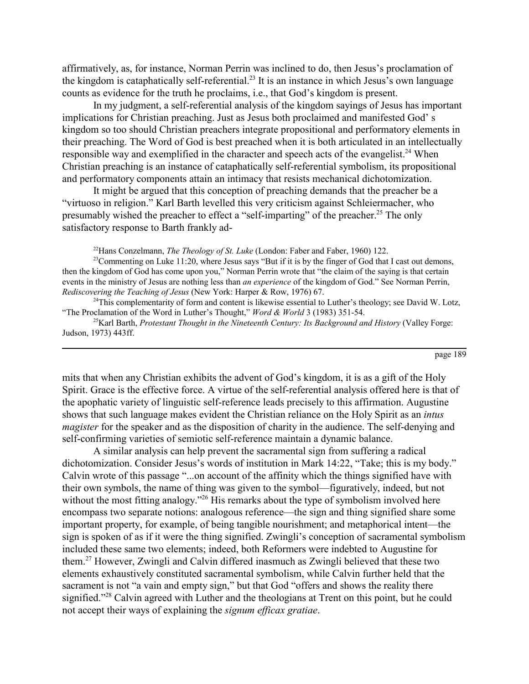affirmatively, as, for instance, Norman Perrin was inclined to do, then Jesus's proclamation of the kingdom is cataphatically self-referential.<sup>23</sup> It is an instance in which Jesus's own language counts as evidence for the truth he proclaims, *i.e.*, that God's kingdom is present.

In my judgment, a self-referential analysis of the kingdom sayings of Jesus has important implications for Christian preaching. Just as Jesus both proclaimed and manifested God's kingdom so too should Christian preachers integrate propositional and performatory elements in their preaching. The Word of God is best preached when it is both articulated in an intellectually responsible way and exemplified in the character and speech acts of the evangelist.<sup>24</sup> When Christian preaching is an instance of cataphatically self-referential symbolism, its propositional and performatory components attain an intimacy that resists mechanical dichotomization.

It might be argued that this conception of preaching demands that the preacher be a ìvirtuoso in religion.î Karl Barth levelled this very criticism against Schleiermacher, who presumably wished the preacher to effect a "self-imparting" of the preacher.<sup>25</sup> The only satisfactory response to Barth frankly ad-

22Hans Conzelmann, *The Theology of St. Luke* (London: Faber and Faber, 1960) 122.

<sup>23</sup>Commenting on Luke 11:20, where Jesus says "But if it is by the finger of God that I cast out demons, then the kingdom of God has come upon you," Norman Perrin wrote that "the claim of the saying is that certain events in the ministry of Jesus are nothing less than *an experience* of the kingdom of God." See Norman Perrin, *Rediscovering the Teaching of Jesus* (New York: Harper & Row, 1976) 67.

 $24$ This complementarity of form and content is likewise essential to Luther's theology; see David W. Lotz, ìThe Proclamation of the Word in Lutherís Thought,î *Word & World* 3 (1983) 351-54.

25Karl Barth, *Protestant Thought in the Nineteenth Century: Its Background and History* (Valley Forge: Judson, 1973) 443ff.

page 189

mits that when any Christian exhibits the advent of God's kingdom, it is as a gift of the Holy Spirit. Grace is the effective force. A virtue of the self-referential analysis offered here is that of the apophatic variety of linguistic self-reference leads precisely to this affirmation. Augustine shows that such language makes evident the Christian reliance on the Holy Spirit as an *intus magister* for the speaker and as the disposition of charity in the audience. The self-denying and self-confirming varieties of semiotic self-reference maintain a dynamic balance.

A similar analysis can help prevent the sacramental sign from suffering a radical dichotomization. Consider Jesus's words of institution in Mark 14:22, "Take; this is my body." Calvin wrote of this passage "...on account of the affinity which the things signified have with their own symbols, the name of thing was given to the symbol—figuratively, indeed, but not without the most fitting analogy.<sup> $26$ </sup> His remarks about the type of symbolism involved here encompass two separate notions: analogous reference—the sign and thing signified share some important property, for example, of being tangible nourishment; and metaphorical intent—the sign is spoken of as if it were the thing signified. Zwingli's conception of sacramental symbolism included these same two elements; indeed, both Reformers were indebted to Augustine for them.27 However, Zwingli and Calvin differed inasmuch as Zwingli believed that these two elements exhaustively constituted sacramental symbolism, while Calvin further held that the sacrament is not "a vain and empty sign," but that God "offers and shows the reality there signified.<sup>728</sup> Calvin agreed with Luther and the theologians at Trent on this point, but he could not accept their ways of explaining the *signum efficax gratiae*.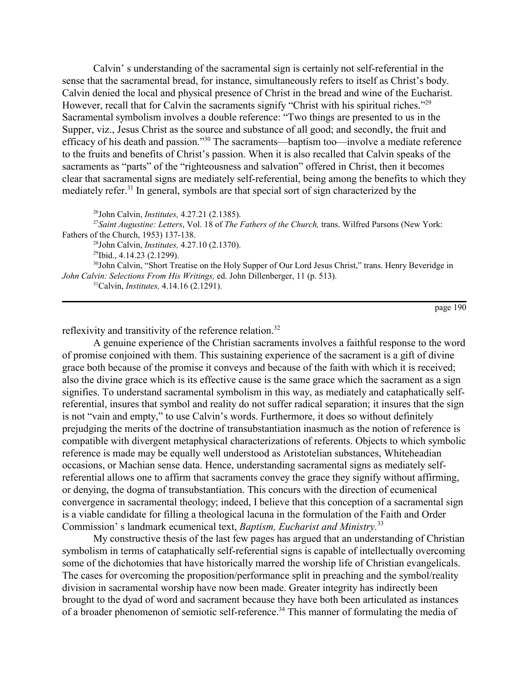Calvin' s understanding of the sacramental sign is certainly not self-referential in the sense that the sacramental bread, for instance, simultaneously refers to itself as Christ's body. Calvin denied the local and physical presence of Christ in the bread and wine of the Eucharist. However, recall that for Calvin the sacraments signify "Christ with his spiritual riches."<sup>29</sup> Sacramental symbolism involves a double reference: "Two things are presented to us in the Supper, viz., Jesus Christ as the source and substance of all good; and secondly, the fruit and efficacy of his death and passion.<sup>330</sup> The sacraments—baptism too—involve a mediate reference to the fruits and benefits of Christ's passion. When it is also recalled that Calvin speaks of the sacraments as "parts" of the "righteousness and salvation" offered in Christ, then it becomes clear that sacramental signs are mediately self-referential, being among the benefits to which they mediately refer.<sup>31</sup> In general, symbols are that special sort of sign characterized by the

26John Calvin, *Institutes,* 4.27.21 (2.1385).

<sup>27</sup>*Saint Augustine: Letters*, Vol. 18 of *The Fathers of the Church,* trans. Wilfred Parsons (New York: Fathers of the Church, 1953) 137-138.

28John Calvin, *Institutes,* 4.27.10 (2.1370).

29Ibid., 4.14.23 (2.1299).

<sup>30</sup>John Calvin, "Short Treatise on the Holy Supper of Our Lord Jesus Christ," trans. Henry Beveridge in *John Calvin: Selections From His Writings,* ed. John Dillenberger, 11 (p. 513).

31Calvin, *Institutes,* 4.14.16 (2.1291).

page 190

reflexivity and transitivity of the reference relation.<sup>32</sup>

A genuine experience of the Christian sacraments involves a faithful response to the word of promise conjoined with them. This sustaining experience of the sacrament is a gift of divine grace both because of the promise it conveys and because of the faith with which it is received; also the divine grace which is its effective cause is the same grace which the sacrament as a sign signifies. To understand sacramental symbolism in this way, as mediately and cataphatically selfreferential, insures that symbol and reality do not suffer radical separation; it insures that the sign is not "vain and empty," to use Calvin's words. Furthermore, it does so without definitely prejudging the merits of the doctrine of transubstantiation inasmuch as the notion of reference is compatible with divergent metaphysical characterizations of referents. Objects to which symbolic reference is made may be equally well understood as Aristotelian substances, Whiteheadian occasions, or Machian sense data. Hence, understanding sacramental signs as mediately selfreferential allows one to affirm that sacraments convey the grace they signify without affirming, or denying, the dogma of transubstantiation. This concurs with the direction of ecumenical convergence in sacramental theology; indeed, I believe that this conception of a sacramental sign is a viable candidate for filling a theological lacuna in the formulation of the Faith and Order Commission's landmark ecumenical text, *Baptism, Eucharist and Ministry*.<sup>33</sup>

My constructive thesis of the last few pages has argued that an understanding of Christian symbolism in terms of cataphatically self-referential signs is capable of intellectually overcoming some of the dichotomies that have historically marred the worship life of Christian evangelicals. The cases for overcoming the proposition/performance split in preaching and the symbol/reality division in sacramental worship have now been made. Greater integrity has indirectly been brought to the dyad of word and sacrament because they have both been articulated as instances of a broader phenomenon of semiotic self-reference.34 This manner of formulating the media of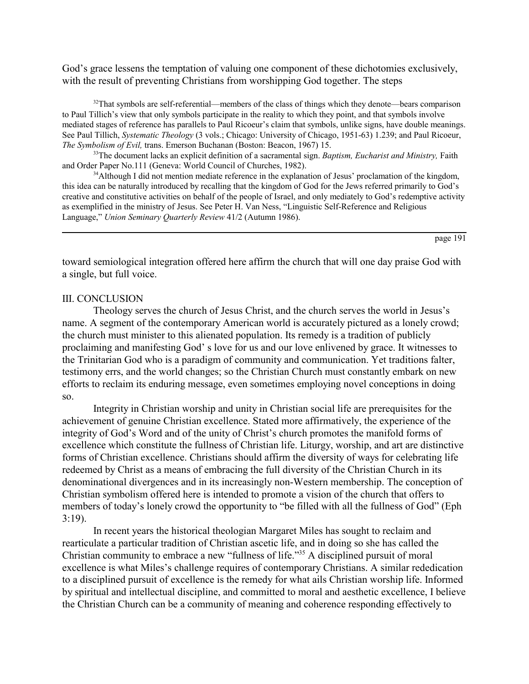God's grace lessens the temptation of valuing one component of these dichotomies exclusively, with the result of preventing Christians from worshipping God together. The steps

 $32$ That symbols are self-referential—members of the class of things which they denote—bears comparison to Paul Tillich's view that only symbols participate in the reality to which they point, and that symbols involve mediated stages of reference has parallels to Paul Ricoeur's claim that symbols, unlike signs, have double meanings. See Paul Tillich, *Systematic Theology* (3 vols.; Chicago: University of Chicago, 1951-63) 1.239; and Paul Ricoeur, *The Symbolism of Evil,* trans. Emerson Buchanan (Boston: Beacon, 1967) 15.

33The document lacks an explicit definition of a sacramental sign. *Baptism, Eucharist and Ministry,* Faith and Order Paper No.111 (Geneva: World Council of Churches, 1982).

 $34$ Although I did not mention mediate reference in the explanation of Jesus' proclamation of the kingdom, this idea can be naturally introduced by recalling that the kingdom of God for the Jews referred primarily to God's creative and constitutive activities on behalf of the people of Israel, and only mediately to God's redemptive activity as exemplified in the ministry of Jesus. See Peter H. Van Ness, "Linguistic Self-Reference and Religious Language," *Union Seminary Quarterly Review 41/2* (Autumn 1986).

page 191

toward semiological integration offered here affirm the church that will one day praise God with a single, but full voice.

## III. CONCLUSION

Theology serves the church of Jesus Christ, and the church serves the world in Jesus's name. A segment of the contemporary American world is accurately pictured as a lonely crowd; the church must minister to this alienated population. Its remedy is a tradition of publicly proclaiming and manifesting God's love for us and our love enlivened by grace. It witnesses to the Trinitarian God who is a paradigm of community and communication. Yet traditions falter, testimony errs, and the world changes; so the Christian Church must constantly embark on new efforts to reclaim its enduring message, even sometimes employing novel conceptions in doing so.

Integrity in Christian worship and unity in Christian social life are prerequisites for the achievement of genuine Christian excellence. Stated more affirmatively, the experience of the integrity of God's Word and of the unity of Christ's church promotes the manifold forms of excellence which constitute the fullness of Christian life. Liturgy, worship, and art are distinctive forms of Christian excellence. Christians should affirm the diversity of ways for celebrating life redeemed by Christ as a means of embracing the full diversity of the Christian Church in its denominational divergences and in its increasingly non-Western membership. The conception of Christian symbolism offered here is intended to promote a vision of the church that offers to members of today's lonely crowd the opportunity to "be filled with all the fullness of God" (Eph 3:19).

In recent years the historical theologian Margaret Miles has sought to reclaim and rearticulate a particular tradition of Christian ascetic life, and in doing so she has called the Christian community to embrace a new "fullness of life.<sup> $35$ </sup> A disciplined pursuit of moral excellence is what Miles's challenge requires of contemporary Christians. A similar rededication to a disciplined pursuit of excellence is the remedy for what ails Christian worship life. Informed by spiritual and intellectual discipline, and committed to moral and aesthetic excellence, I believe the Christian Church can be a community of meaning and coherence responding effectively to